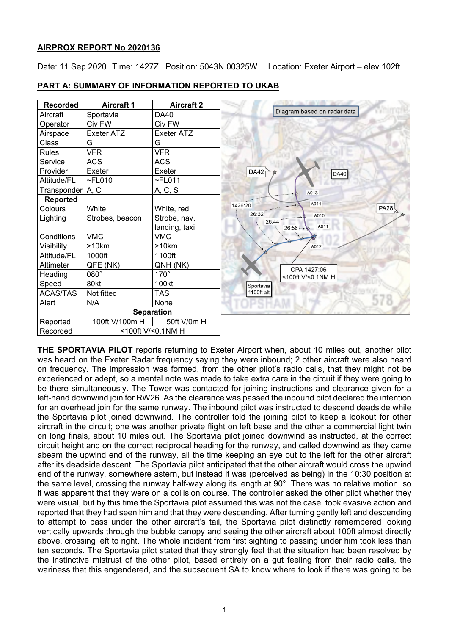#### **AIRPROX REPORT No 2020136**

Date: 11 Sep 2020 Time: 1427Z Position: 5043N 00325W Location: Exeter Airport - elev 102ft

| <b>Recorded</b>    | <b>Aircraft 1</b> | <b>Aircraft 2</b> |                             |
|--------------------|-------------------|-------------------|-----------------------------|
| Aircraft           | Sportavia         | DA40              | Diagram based on radar data |
| Operator           | Civ FW            | Civ FW            |                             |
| Airspace           | <b>Exeter ATZ</b> | <b>Exeter ATZ</b> |                             |
| Class              | G                 | G                 |                             |
| <b>Rules</b>       | <b>VFR</b>        | <b>VFR</b>        |                             |
| Service            | <b>ACS</b>        | <b>ACS</b>        | DA42<br>DA40                |
| Provider           | Exeter            | Exeter            |                             |
| Altitude/FL        | $\neg$ FL010      | $\neg$ FL011      |                             |
| Transponder   A, C |                   | A, C, S           | A013                        |
| <b>Reported</b>    |                   |                   | A011                        |
| Colours            | White             | White, red        | 1426:20<br><b>PA28</b>      |
| Lighting           | Strobes, beacon   | Strobe, nav,      | 26:32<br>A010<br>26:44      |
|                    |                   | landing, taxi     | A011<br>$26:56 -$           |
| Conditions         | <b>VMC</b>        | <b>VMC</b>        |                             |
| Visibility         | >10km             | >10km             | A012                        |
| Altitude/FL        | 1000ft            | 1100ft            |                             |
| Altimeter          | QFE (NK)          | QNH (NK)          | CPA 1427:06                 |
| Heading            | 080°              | $170^\circ$       | <100ft V/<0.1NM H           |
| Speed              | 80kt              | 100kt             | Sportavia                   |
| <b>ACAS/TAS</b>    | Not fitted        | <b>TAS</b>        | 1100ft alt                  |
| Alert              | N/A               | None              |                             |
|                    |                   | <b>Separation</b> |                             |
| Reported           | 100ft V/100m H    | 50ft V/0m H       |                             |
| Recorded           | <100ft V/<0.1NM H |                   |                             |

**PART A: SUMMARY OF INFORMATION REPORTED TO UKAB**

**THE SPORTAVIA PILOT** reports returning to Exeter Airport when, about 10 miles out, another pilot was heard on the Exeter Radar frequency saying they were inbound; 2 other aircraft were also heard on frequency. The impression was formed, from the other pilot's radio calls, that they might not be experienced or adept, so a mental note was made to take extra care in the circuit if they were going to be there simultaneously. The Tower was contacted for joining instructions and clearance given for a left-hand downwind join for RW26. As the clearance was passed the inbound pilot declared the intention for an overhead join for the same runway. The inbound pilot was instructed to descend deadside while the Sportavia pilot joined downwind. The controller told the joining pilot to keep a lookout for other aircraft in the circuit; one was another private flight on left base and the other a commercial light twin on long finals, about 10 miles out. The Sportavia pilot joined downwind as instructed, at the correct circuit height and on the correct reciprocal heading for the runway, and called downwind as they came abeam the upwind end of the runway, all the time keeping an eye out to the left for the other aircraft after its deadside descent. The Sportavia pilot anticipated that the other aircraft would cross the upwind end of the runway, somewhere astern, but instead it was (perceived as being) in the 10:30 position at the same level, crossing the runway half-way along its length at 90°. There was no relative motion, so it was apparent that they were on a collision course. The controller asked the other pilot whether they were visual, but by this time the Sportavia pilot assumed this was not the case, took evasive action and reported that they had seen him and that they were descending. After turning gently left and descending to attempt to pass under the other aircraft's tail, the Sportavia pilot distinctly remembered looking vertically upwards through the bubble canopy and seeing the other aircraft about 100ft almost directly above, crossing left to right. The whole incident from first sighting to passing under him took less than ten seconds. The Sportavia pilot stated that they strongly feel that the situation had been resolved by the instinctive mistrust of the other pilot, based entirely on a gut feeling from their radio calls, the wariness that this engendered, and the subsequent SA to know where to look if there was going to be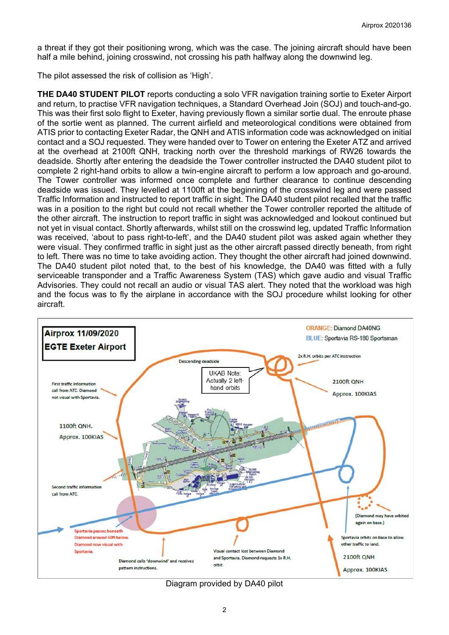a threat if they got their positioning wrong, which was the case. The joining aircraft should have been half a mile behind, joining crosswind, not crossing his path halfway along the downwind leg.

The pilot assessed the risk of collision as 'High'.

**THE DA40 STUDENT PILOT** reports conducting a solo VFR navigation training sortie to Exeter Airport and return, to practise VFR navigation techniques, a Standard Overhead Join (SOJ) and touch-and-go. This was their first solo flight to Exeter, having previously flown a similar sortie dual. The enroute phase of the sortie went as planned. The current airfield and meteorological conditions were obtained from ATIS prior to contacting Exeter Radar, the QNH and ATIS information code was acknowledged on initial contact and a SOJ requested. They were handed over to Tower on entering the Exeter ATZ and arrived at the overhead at 2100ft QNH, tracking north over the threshold markings of RW26 towards the deadside. Shortly after entering the deadside the Tower controller instructed the DA40 student pilot to complete 2 right-hand orbits to allow a twin-engine aircraft to perform a low approach and go-around. The Tower controller was informed once complete and further clearance to continue descending deadside was issued. They levelled at 1100ft at the beginning of the crosswind leg and were passed Traffic Information and instructed to report traffic in sight. The DA40 student pilot recalled that the traffic was in a position to the right but could not recall whether the Tower controller reported the altitude of the other aircraft. The instruction to report traffic in sight was acknowledged and lookout continued but not yet in visual contact. Shortly afterwards, whilst still on the crosswind leg, updated Traffic Information was received, 'about to pass right-to-left', and the DA40 student pilot was asked again whether they were visual. They confirmed traffic in sight just as the other aircraft passed directly beneath, from right to left. There was no time to take avoiding action. They thought the other aircraft had joined downwind. The DA40 student pilot noted that, to the best of his knowledge, the DA40 was fitted with a fully serviceable transponder and a Traffic Awareness System (TAS) which gave audio and visual Traffic Advisories. They could not recall an audio or visual TAS alert. They noted that the workload was high and the focus was to fly the airplane in accordance with the SOJ procedure whilst looking for other aircraft.



Diagram provided by DA40 pilot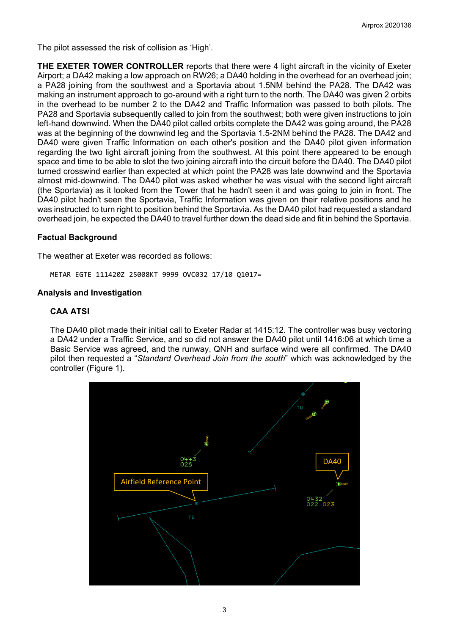The pilot assessed the risk of collision as 'High'.

**THE EXETER TOWER CONTROLLER** reports that there were 4 light aircraft in the vicinity of Exeter Airport; a DA42 making a low approach on RW26; a DA40 holding in the overhead for an overhead join; a PA28 joining from the southwest and a Sportavia about 1.5NM behind the PA28. The DA42 was making an instrument approach to go-around with a right turn to the north. The DA40 was given 2 orbits in the overhead to be number 2 to the DA42 and Traffic Information was passed to both pilots. The PA28 and Sportavia subsequently called to join from the southwest; both were given instructions to join left-hand downwind. When the DA40 pilot called orbits complete the DA42 was going around, the PA28 was at the beginning of the downwind leg and the Sportavia 1.5-2NM behind the PA28. The DA42 and DA40 were given Traffic Information on each other's position and the DA40 pilot given information regarding the two light aircraft joining from the southwest. At this point there appeared to be enough space and time to be able to slot the two joining aircraft into the circuit before the DA40. The DA40 pilot turned crosswind earlier than expected at which point the PA28 was late downwind and the Sportavia almost mid-downwind. The DA40 pilot was asked whether he was visual with the second light aircraft (the Sportavia) as it looked from the Tower that he hadn't seen it and was going to join in front. The DA40 pilot hadn't seen the Sportavia, Traffic Information was given on their relative positions and he was instructed to turn right to position behind the Sportavia. As the DA40 pilot had requested a standard overhead join, he expected the DA40 to travel further down the dead side and fit in behind the Sportavia.

## **Factual Background**

The weather at Exeter was recorded as follows:

METAR EGTE 111420Z 25008KT 9999 OVC032 17/10 Q1017=

## **Analysis and Investigation**

#### **CAA ATSI**

The DA40 pilot made their initial call to Exeter Radar at 1415:12. The controller was busy vectoring a DA42 under a Traffic Service, and so did not answer the DA40 pilot until 1416:06 at which time a Basic Service was agreed, and the runway, QNH and surface wind were all confirmed. The DA40 pilot then requested a "*Standard Overhead Join from the south*" which was acknowledged by the controller (Figure 1).

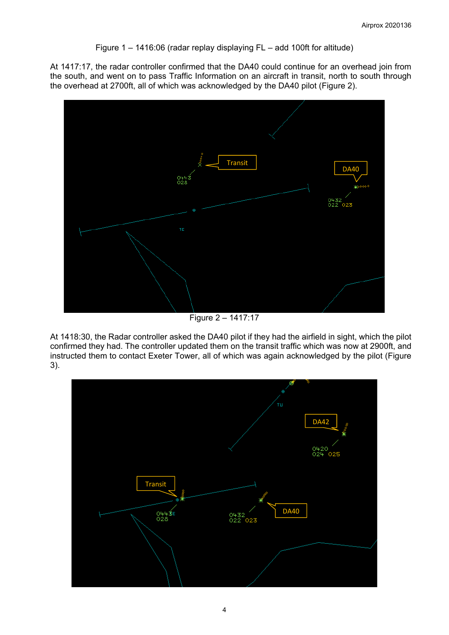Figure 1 – 1416:06 (radar replay displaying FL – add 100ft for altitude)

At 1417:17, the radar controller confirmed that the DA40 could continue for an overhead join from the south, and went on to pass Traffic Information on an aircraft in transit, north to south through the overhead at 2700ft, all of which was acknowledged by the DA40 pilot (Figure 2).



Figure 2 – 1417:17

At 1418:30, the Radar controller asked the DA40 pilot if they had the airfield in sight, which the pilot confirmed they had. The controller updated them on the transit traffic which was now at 2900ft, and instructed them to contact Exeter Tower, all of which was again acknowledged by the pilot (Figure 3).

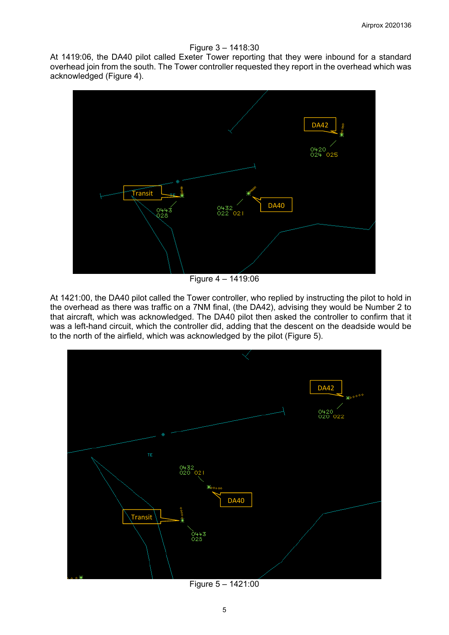#### Figure 3 – 1418:30

At 1419:06, the DA40 pilot called Exeter Tower reporting that they were inbound for a standard overhead join from the south. The Tower controller requested they report in the overhead which was acknowledged (Figure 4).



Figure 4 – 1419:06

At 1421:00, the DA40 pilot called the Tower controller, who replied by instructing the pilot to hold in the overhead as there was traffic on a 7NM final, (the DA42), advising they would be Number 2 to that aircraft, which was acknowledged. The DA40 pilot then asked the controller to confirm that it was a left-hand circuit, which the controller did, adding that the descent on the deadside would be to the north of the airfield, which was acknowledged by the pilot (Figure 5).



Figure 5 – 1421:00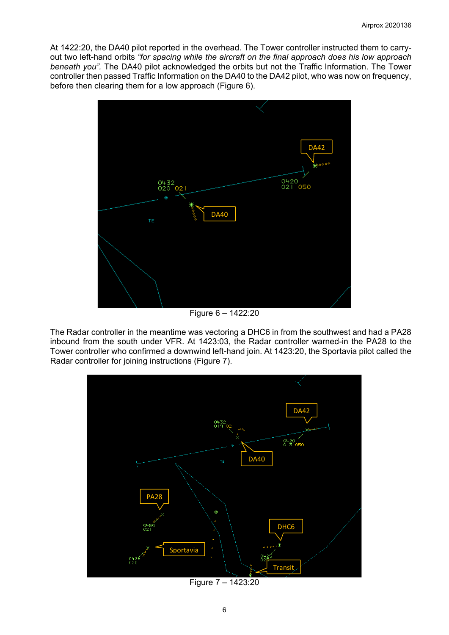At 1422:20, the DA40 pilot reported in the overhead. The Tower controller instructed them to carryout two left-hand orbits *"for spacing while the aircraft on the final approach does his low approach beneath you".* The DA40 pilot acknowledged the orbits but not the Traffic Information. The Tower controller then passed Traffic Information on the DA40 to the DA42 pilot, who was now on frequency, before then clearing them for a low approach (Figure 6).



Figure 6 – 1422:20

The Radar controller in the meantime was vectoring a DHC6 in from the southwest and had a PA28 inbound from the south under VFR. At 1423:03, the Radar controller warned-in the PA28 to the Tower controller who confirmed a downwind left-hand join. At 1423:20, the Sportavia pilot called the Radar controller for joining instructions (Figure 7).



Figure 7 – 1423:20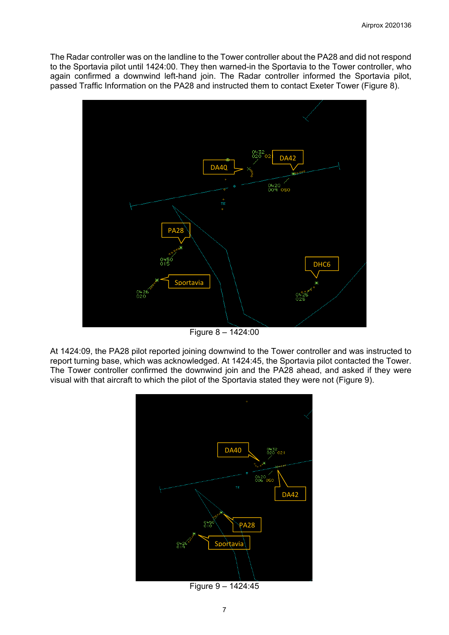The Radar controller was on the landline to the Tower controller about the PA28 and did not respond to the Sportavia pilot until 1424:00. They then warned-in the Sportavia to the Tower controller, who again confirmed a downwind left-hand join. The Radar controller informed the Sportavia pilot, passed Traffic Information on the PA28 and instructed them to contact Exeter Tower (Figure 8).



Figure 8 – 1424:00

At 1424:09, the PA28 pilot reported joining downwind to the Tower controller and was instructed to report turning base, which was acknowledged. At 1424:45, the Sportavia pilot contacted the Tower. The Tower controller confirmed the downwind join and the PA28 ahead, and asked if they were visual with that aircraft to which the pilot of the Sportavia stated they were not (Figure 9).



Figure 9 – 1424:45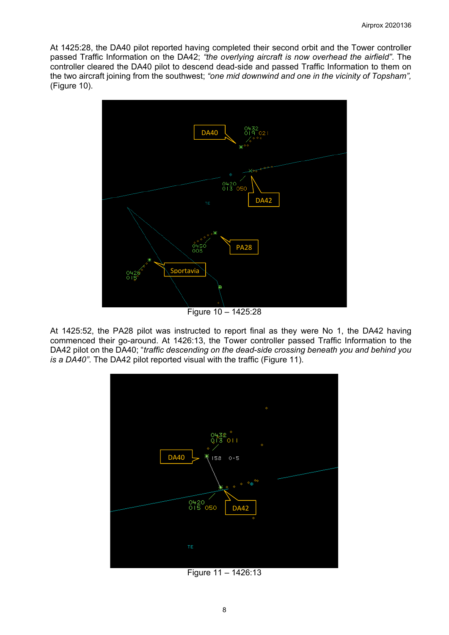At 1425:28, the DA40 pilot reported having completed their second orbit and the Tower controller passed Traffic Information on the DA42; *"the overlying aircraft is now overhead the airfield"*. The controller cleared the DA40 pilot to descend dead-side and passed Traffic Information to them on the two aircraft joining from the southwest; *"one mid downwind and one in the vicinity of Topsham",* (Figure 10).



Figure 10 – 1425:28

At 1425:52, the PA28 pilot was instructed to report final as they were No 1, the DA42 having commenced their go-around. At 1426:13, the Tower controller passed Traffic Information to the DA42 pilot on the DA40; "*traffic descending on the dead-side crossing beneath you and behind you is a DA40"*. The DA42 pilot reported visual with the traffic (Figure 11).



Figure 11 – 1426:13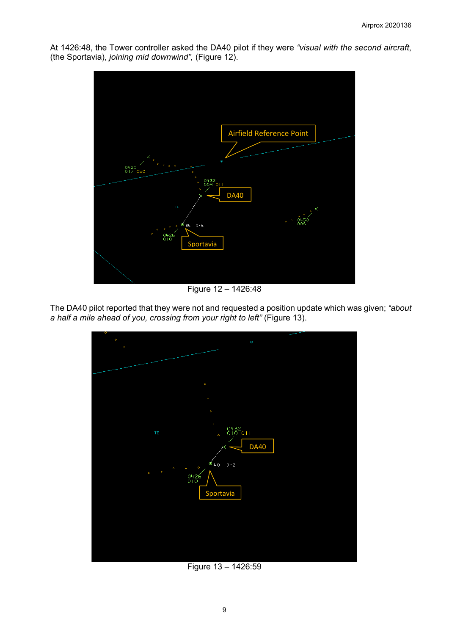Airfield Reference Point $0+20$  osc  $0432$ DA40  $0.6$ 34 Sportavia

At 1426:48, the Tower controller asked the DA40 pilot if they were *"visual with the second aircraft*, (the Sportavia), *joining mid downwind",* (Figure 12).

Figure 12 – 1426:48

The DA40 pilot reported that they were not and requested a position update which was given; *"about a half a mile ahead of you, crossing from your right to left"* (Figure 13).



Figure 13 – 1426:59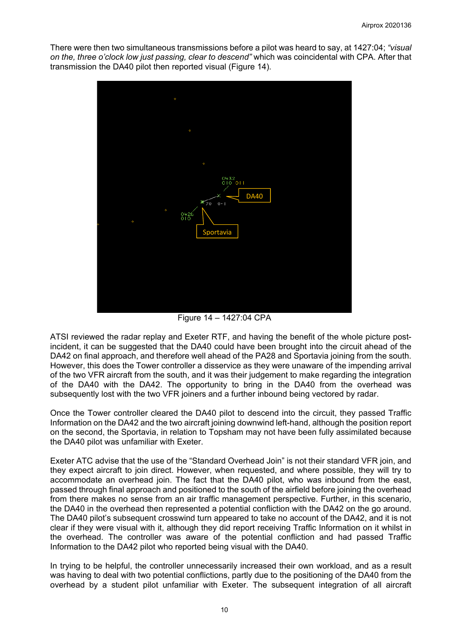There were then two simultaneous transmissions before a pilot was heard to say, at 1427:04; *"visual on the, three o'clock low just passing, clear to descend"* which was coincidental with CPA. After that transmission the DA40 pilot then reported visual (Figure 14).



Figure 14 – 1427:04 CPA

ATSI reviewed the radar replay and Exeter RTF, and having the benefit of the whole picture postincident, it can be suggested that the DA40 could have been brought into the circuit ahead of the DA42 on final approach, and therefore well ahead of the PA28 and Sportavia joining from the south. However, this does the Tower controller a disservice as they were unaware of the impending arrival of the two VFR aircraft from the south, and it was their judgement to make regarding the integration of the DA40 with the DA42. The opportunity to bring in the DA40 from the overhead was subsequently lost with the two VFR joiners and a further inbound being vectored by radar.

Once the Tower controller cleared the DA40 pilot to descend into the circuit, they passed Traffic Information on the DA42 and the two aircraft joining downwind left-hand, although the position report on the second, the Sportavia, in relation to Topsham may not have been fully assimilated because the DA40 pilot was unfamiliar with Exeter.

Exeter ATC advise that the use of the "Standard Overhead Join" is not their standard VFR join, and they expect aircraft to join direct. However, when requested, and where possible, they will try to accommodate an overhead join. The fact that the DA40 pilot, who was inbound from the east, passed through final approach and positioned to the south of the airfield before joining the overhead from there makes no sense from an air traffic management perspective. Further, in this scenario, the DA40 in the overhead then represented a potential confliction with the DA42 on the go around. The DA40 pilot's subsequent crosswind turn appeared to take no account of the DA42, and it is not clear if they were visual with it, although they did report receiving Traffic Information on it whilst in the overhead. The controller was aware of the potential confliction and had passed Traffic Information to the DA42 pilot who reported being visual with the DA40.

In trying to be helpful, the controller unnecessarily increased their own workload, and as a result was having to deal with two potential conflictions, partly due to the positioning of the DA40 from the overhead by a student pilot unfamiliar with Exeter. The subsequent integration of all aircraft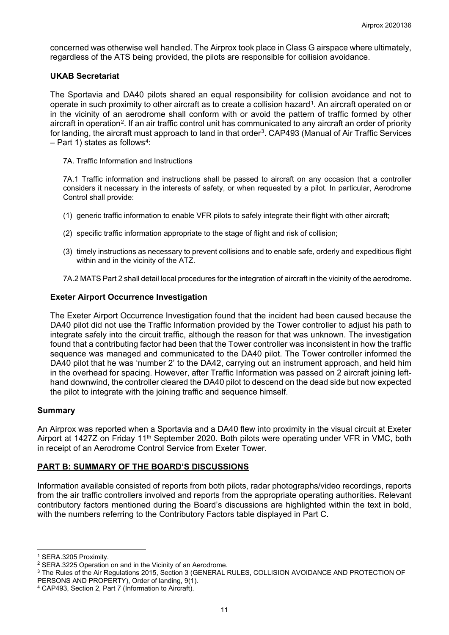concerned was otherwise well handled. The Airprox took place in Class G airspace where ultimately, regardless of the ATS being provided, the pilots are responsible for collision avoidance.

## **UKAB Secretariat**

The Sportavia and DA40 pilots shared an equal responsibility for collision avoidance and not to operate in such proximity to other aircraft as to create a collision hazard[1](#page-10-0). An aircraft operated on or in the vicinity of an aerodrome shall conform with or avoid the pattern of traffic formed by other aircraft in operation<sup>[2](#page-10-1)</sup>. If an air traffic control unit has communicated to any aircraft an order of priority for landing, the aircraft must approach to land in that order<sup>[3](#page-10-2)</sup>. CAP493 (Manual of Air Traffic Services  $-$  Part 1) states as follows<sup>4</sup>:

7A. Traffic Information and Instructions

7A.1 Traffic information and instructions shall be passed to aircraft on any occasion that a controller considers it necessary in the interests of safety, or when requested by a pilot. In particular, Aerodrome Control shall provide:

- (1) generic traffic information to enable VFR pilots to safely integrate their flight with other aircraft;
- (2) specific traffic information appropriate to the stage of flight and risk of collision;
- (3) timely instructions as necessary to prevent collisions and to enable safe, orderly and expeditious flight within and in the vicinity of the ATZ.
- 7A.2 MATS Part 2 shall detail local procedures for the integration of aircraft in the vicinity of the aerodrome.

## **Exeter Airport Occurrence Investigation**

The Exeter Airport Occurrence Investigation found that the incident had been caused because the DA40 pilot did not use the Traffic Information provided by the Tower controller to adjust his path to integrate safely into the circuit traffic, although the reason for that was unknown. The investigation found that a contributing factor had been that the Tower controller was inconsistent in how the traffic sequence was managed and communicated to the DA40 pilot. The Tower controller informed the DA40 pilot that he was 'number 2' to the DA42, carrying out an instrument approach, and held him in the overhead for spacing. However, after Traffic Information was passed on 2 aircraft joining lefthand downwind, the controller cleared the DA40 pilot to descend on the dead side but now expected the pilot to integrate with the joining traffic and sequence himself.

## **Summary**

An Airprox was reported when a Sportavia and a DA40 flew into proximity in the visual circuit at Exeter Airport at 1427Z on Friday 11<sup>th</sup> September 2020. Both pilots were operating under VFR in VMC, both in receipt of an Aerodrome Control Service from Exeter Tower.

## **PART B: SUMMARY OF THE BOARD'S DISCUSSIONS**

Information available consisted of reports from both pilots, radar photographs/video recordings, reports from the air traffic controllers involved and reports from the appropriate operating authorities. Relevant contributory factors mentioned during the Board's discussions are highlighted within the text in bold, with the numbers referring to the Contributory Factors table displayed in Part C.

<sup>1</sup> SERA.3205 Proximity.

<span id="page-10-1"></span><span id="page-10-0"></span><sup>2</sup> SERA.3225 Operation on and in the Vicinity of an Aerodrome.

<span id="page-10-2"></span><sup>3</sup> The Rules of the Air Regulations 2015, Section 3 (GENERAL RULES, COLLISION AVOIDANCE AND PROTECTION OF PERSONS AND PROPERTY), Order of landing, 9(1).

<span id="page-10-3"></span><sup>4</sup> CAP493, Section 2, Part 7 (Information to Aircraft).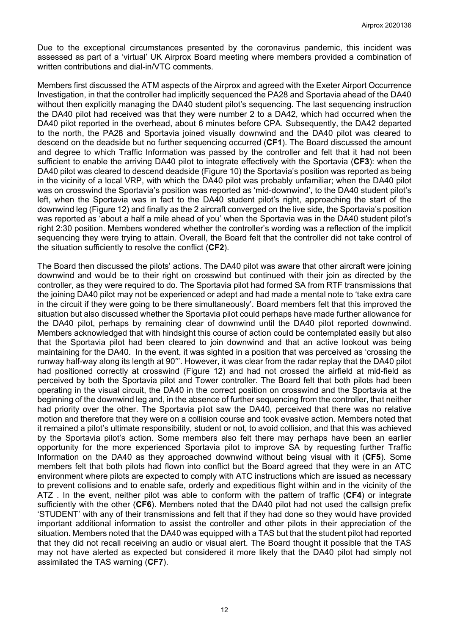Due to the exceptional circumstances presented by the coronavirus pandemic, this incident was assessed as part of a 'virtual' UK Airprox Board meeting where members provided a combination of written contributions and dial-in/VTC comments.

Members first discussed the ATM aspects of the Airprox and agreed with the Exeter Airport Occurrence Investigation, in that the controller had implicitly sequenced the PA28 and Sportavia ahead of the DA40 without then explicitly managing the DA40 student pilot's sequencing. The last sequencing instruction the DA40 pilot had received was that they were number 2 to a DA42, which had occurred when the DA40 pilot reported in the overhead, about 6 minutes before CPA. Subsequently, the DA42 departed to the north, the PA28 and Sportavia joined visually downwind and the DA40 pilot was cleared to descend on the deadside but no further sequencing occurred (**CF1**). The Board discussed the amount and degree to which Traffic Information was passed by the controller and felt that it had not been sufficient to enable the arriving DA40 pilot to integrate effectively with the Sportavia (**CF3**): when the DA40 pilot was cleared to descend deadside (Figure 10) the Sportavia's position was reported as being in the vicinity of a local VRP, with which the DA40 pilot was probably unfamiliar; when the DA40 pilot was on crosswind the Sportavia's position was reported as 'mid-downwind', to the DA40 student pilot's left, when the Sportavia was in fact to the DA40 student pilot's right, approaching the start of the downwind leg (Figure 12) and finally as the 2 aircraft converged on the live side, the Sportavia's position was reported as 'about a half a mile ahead of you' when the Sportavia was in the DA40 student pilot's right 2:30 position. Members wondered whether the controller's wording was a reflection of the implicit sequencing they were trying to attain. Overall, the Board felt that the controller did not take control of the situation sufficiently to resolve the conflict (**CF2**).

The Board then discussed the pilots' actions. The DA40 pilot was aware that other aircraft were joining downwind and would be to their right on crosswind but continued with their join as directed by the controller, as they were required to do. The Sportavia pilot had formed SA from RTF transmissions that the joining DA40 pilot may not be experienced or adept and had made a mental note to 'take extra care in the circuit if they were going to be there simultaneously'. Board members felt that this improved the situation but also discussed whether the Sportavia pilot could perhaps have made further allowance for the DA40 pilot, perhaps by remaining clear of downwind until the DA40 pilot reported downwind. Members acknowledged that with hindsight this course of action could be contemplated easily but also that the Sportavia pilot had been cleared to join downwind and that an active lookout was being maintaining for the DA40. In the event, it was sighted in a position that was perceived as 'crossing the runway half-way along its length at 90°'. However, it was clear from the radar replay that the DA40 pilot had positioned correctly at crosswind (Figure 12) and had not crossed the airfield at mid-field as perceived by both the Sportavia pilot and Tower controller. The Board felt that both pilots had been operating in the visual circuit, the DA40 in the correct position on crosswind and the Sportavia at the beginning of the downwind leg and, in the absence of further sequencing from the controller, that neither had priority over the other. The Sportavia pilot saw the DA40, perceived that there was no relative motion and therefore that they were on a collision course and took evasive action. Members noted that it remained a pilot's ultimate responsibility, student or not, to avoid collision, and that this was achieved by the Sportavia pilot's action. Some members also felt there may perhaps have been an earlier opportunity for the more experienced Sportavia pilot to improve SA by requesting further Traffic Information on the DA40 as they approached downwind without being visual with it (**CF5**). Some members felt that both pilots had flown into conflict but the Board agreed that they were in an ATC environment where pilots are expected to comply with ATC instructions which are issued as necessary to prevent collisions and to enable safe, orderly and expeditious flight within and in the vicinity of the ATZ . In the event, neither pilot was able to conform with the pattern of traffic (**CF4**) or integrate sufficiently with the other (**CF6**). Members noted that the DA40 pilot had not used the callsign prefix 'STUDENT' with any of their transmissions and felt that if they had done so they would have provided important additional information to assist the controller and other pilots in their appreciation of the situation. Members noted that the DA40 was equipped with a TAS but that the student pilot had reported that they did not recall receiving an audio or visual alert. The Board thought it possible that the TAS may not have alerted as expected but considered it more likely that the DA40 pilot had simply not assimilated the TAS warning (**CF7**).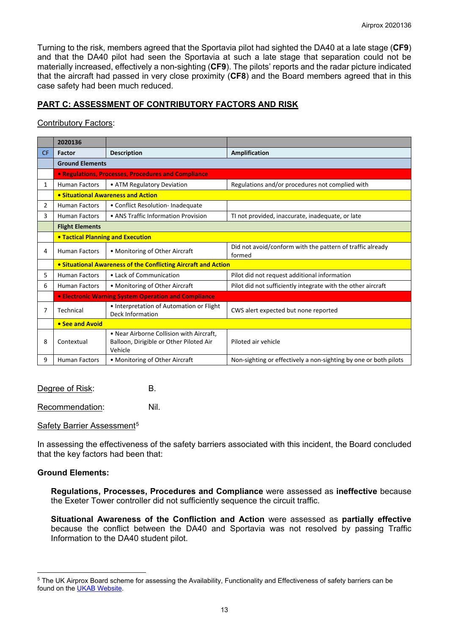Turning to the risk, members agreed that the Sportavia pilot had sighted the DA40 at a late stage (**CF9**) and that the DA40 pilot had seen the Sportavia at such a late stage that separation could not be materially increased, effectively a non-sighting (**CF9**). The pilots' reports and the radar picture indicated that the aircraft had passed in very close proximity (**CF8**) and the Board members agreed that in this case safety had been much reduced.

# **PART C: ASSESSMENT OF CONTRIBUTORY FACTORS AND RISK**

## Contributory Factors:

|           | 2020136                                                        |                                                                                                |                                                                     |  |  |
|-----------|----------------------------------------------------------------|------------------------------------------------------------------------------------------------|---------------------------------------------------------------------|--|--|
| <b>CF</b> | <b>Factor</b>                                                  | <b>Description</b>                                                                             | <b>Amplification</b>                                                |  |  |
|           | <b>Ground Elements</b>                                         |                                                                                                |                                                                     |  |  |
|           | • Regulations, Processes, Procedures and Compliance            |                                                                                                |                                                                     |  |  |
| 1         | <b>Human Factors</b>                                           | • ATM Regulatory Deviation                                                                     | Regulations and/or procedures not complied with                     |  |  |
|           | • Situational Awareness and Action                             |                                                                                                |                                                                     |  |  |
| 2         | <b>Human Factors</b>                                           | • Conflict Resolution- Inadequate                                                              |                                                                     |  |  |
| 3         | <b>Human Factors</b>                                           | • ANS Traffic Information Provision                                                            | TI not provided, inaccurate, inadequate, or late                    |  |  |
|           | <b>Flight Elements</b>                                         |                                                                                                |                                                                     |  |  |
|           | <b>• Tactical Planning and Execution</b>                       |                                                                                                |                                                                     |  |  |
| 4         | <b>Human Factors</b>                                           | • Monitoring of Other Aircraft                                                                 | Did not avoid/conform with the pattern of traffic already<br>formed |  |  |
|           | • Situational Awareness of the Conflicting Aircraft and Action |                                                                                                |                                                                     |  |  |
| 5         | <b>Human Factors</b>                                           | • Lack of Communication                                                                        | Pilot did not request additional information                        |  |  |
| 6         | <b>Human Factors</b>                                           | • Monitoring of Other Aircraft                                                                 | Pilot did not sufficiently integrate with the other aircraft        |  |  |
|           | <b>• Electronic Warning System Operation and Compliance</b>    |                                                                                                |                                                                     |  |  |
| 7         | Technical                                                      | • Interpretation of Automation or Flight<br><b>Deck Information</b>                            | CWS alert expected but none reported                                |  |  |
|           | • See and Avoid                                                |                                                                                                |                                                                     |  |  |
| 8         | Contextual                                                     | • Near Airborne Collision with Aircraft.<br>Balloon, Dirigible or Other Piloted Air<br>Vehicle | Piloted air vehicle                                                 |  |  |
| 9         | <b>Human Factors</b>                                           | • Monitoring of Other Aircraft                                                                 | Non-sighting or effectively a non-sighting by one or both pilots    |  |  |

Degree of Risk: B.

Recommendation: Nil.

## Safety Barrier Assessment<sup>[5](#page-12-0)</sup>

In assessing the effectiveness of the safety barriers associated with this incident, the Board concluded that the key factors had been that:

## **Ground Elements:**

**Regulations, Processes, Procedures and Compliance** were assessed as **ineffective** because the Exeter Tower controller did not sufficiently sequence the circuit traffic.

**Situational Awareness of the Confliction and Action** were assessed as **partially effective** because the conflict between the DA40 and Sportavia was not resolved by passing Traffic Information to the DA40 student pilot.

<span id="page-12-0"></span><sup>&</sup>lt;sup>5</sup> The UK Airprox Board scheme for assessing the Availability, Functionality and Effectiveness of safety barriers can be found on the [UKAB Website.](http://www.airproxboard.org.uk/Learn-more/Airprox-Barrier-Assessment/)